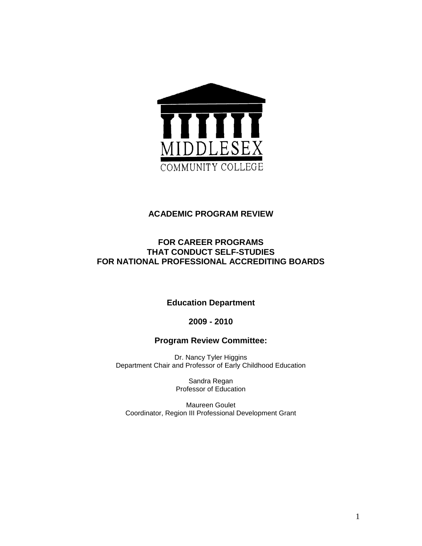

## **ACADEMIC PROGRAM REVIEW**

# **FOR CAREER PROGRAMS THAT CONDUCT SELF-STUDIES FOR NATIONAL PROFESSIONAL ACCREDITING BOARDS**

## **Education Department**

**2009 - 2010** 

**Program Review Committee:** 

Dr. Nancy Tyler Higgins Department Chair and Professor of Early Childhood Education

> Sandra Regan Professor of Education

Maureen Goulet Coordinator, Region III Professional Development Grant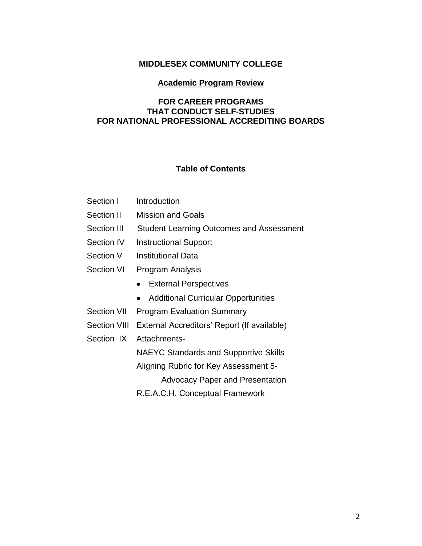## **MIDDLESEX COMMUNITY COLLEGE**

### **Academic Program Review**

## **FOR CAREER PROGRAMS THAT CONDUCT SELF-STUDIES FOR NATIONAL PROFESSIONAL ACCREDITING BOARDS**

# **Table of Contents**

| Section I | Introduction |
|-----------|--------------|
|           |              |

- Section II Mission and Goals
- Section III Student Learning Outcomes and Assessment
- Section IV Instructional Support
- Section V Institutional Data
- Section VI Program Analysis
	- External Perspectives
	- Additional Curricular Opportunities
- Section VII Program Evaluation Summary
- Section VIII External Accreditors' Report (If available)
- Section IX Attachments-

NAEYC Standards and Supportive Skills

Aligning Rubric for Key Assessment 5-

Advocacy Paper and Presentation

R.E.A.C.H. Conceptual Framework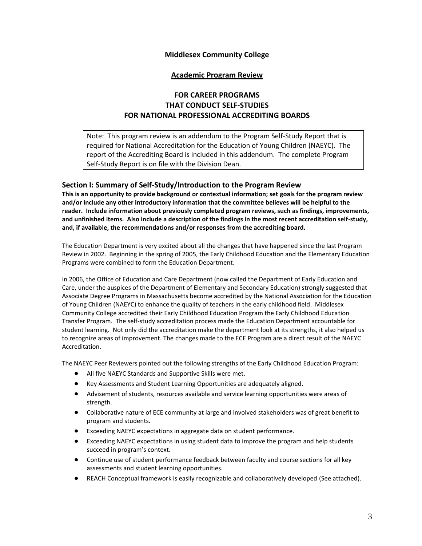### **Middlesex Community College**

### **Academic Program Review**

## **FOR CAREER PROGRAMS THAT CONDUCT SELF-STUDIES FOR NATIONAL PROFESSIONAL ACCREDITING BOARDS**

Note: This program review is an addendum to the Program Self-Study Report that is required for National Accreditation for the Education of Young Children (NAEYC). The report of the Accrediting Board is included in this addendum. The complete Program Self-Study Report is on file with the Division Dean.

### **Section I: Summary of Self-Study/Introduction to the Program Review**

**This is an opportunity to provide background or contextual information; set goals for the program review and/or include any other introductory information that the committee believes will be helpful to the reader. Include information about previously completed program reviews, such as findings, improvements, and unfinished items. Also include a description of the findings in the most recent accreditation self-study, and, if available, the recommendations and/or responses from the accrediting board.**

The Education Department is very excited about all the changes that have happened since the last Program Review in 2002. Beginning in the spring of 2005, the Early Childhood Education and the Elementary Education Programs were combined to form the Education Department.

In 2006, the Office of Education and Care Department (now called the Department of Early Education and Care, under the auspices of the Department of Elementary and Secondary Education) strongly suggested that Associate Degree Programs in Massachusetts become accredited by the National Association for the Education of Young Children (NAEYC) to enhance the quality of teachers in the early childhood field. Middlesex Community College accredited their Early Childhood Education Program the Early Childhood Education Transfer Program. The self-study accreditation process made the Education Department accountable for student learning. Not only did the accreditation make the department look at its strengths, it also helped us to recognize areas of improvement. The changes made to the ECE Program are a direct result of the NAEYC Accreditation.

The NAEYC Peer Reviewers pointed out the following strengths of the Early Childhood Education Program:

- All five NAEYC Standards and Supportive Skills were met.
- Key Assessments and Student Learning Opportunities are adequately aligned.
- Advisement of students, resources available and service learning opportunities were areas of strength.
- Collaborative nature of ECE community at large and involved stakeholders was of great benefit to program and students.
- Exceeding NAEYC expectations in aggregate data on student performance.
- Exceeding NAEYC expectations in using student data to improve the program and help students succeed in program's context.
- Continue use of student performance feedback between faculty and course sections for all key assessments and student learning opportunities.
- REACH Conceptual framework is easily recognizable and collaboratively developed (See attached). $\bullet$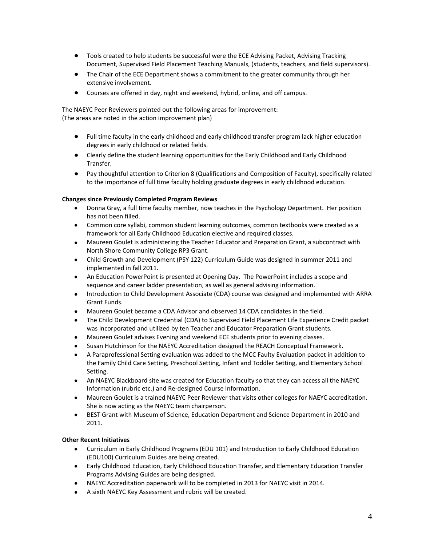- Tools created to help students be successful were the ECE Advising Packet, Advising Tracking Document, Supervised Field Placement Teaching Manuals, (students, teachers, and field supervisors).
- The Chair of the ECE Department shows a commitment to the greater community through her extensive involvement.
- $\bullet$ Courses are offered in day, night and weekend, hybrid, online, and off campus.

The NAEYC Peer Reviewers pointed out the following areas for improvement: (The areas are noted in the action improvement plan)

- Full time faculty in the early childhood and early childhood transfer program lack higher education degrees in early childhood or related fields.
- Clearly define the student learning opportunities for the Early Childhood and Early Childhood Transfer.
- Pay thoughtful attention to Criterion 8 (Qualifications and Composition of Faculty), specifically related to the importance of full time faculty holding graduate degrees in early childhood education.

#### **Changes since Previously Completed Program Reviews**

- Donna Gray, a full time faculty member, now teaches in the Psychology Department. Her position has not been filled.
- Common core syllabi, common student learning outcomes, common textbooks were created as a framework for all Early Childhood Education elective and required classes.
- Maureen Goulet is administering the Teacher Educator and Preparation Grant, a subcontract with North Shore Community College RP3 Grant.
- Child Growth and Development (PSY 122) Curriculum Guide was designed in summer 2011 and implemented in fall 2011.
- An Education PowerPoint is presented at Opening Day. The PowerPoint includes a scope and sequence and career ladder presentation, as well as general advising information.
- Introduction to Child Development Associate (CDA) course was designed and implemented with ARRA  $\bullet$ Grant Funds.
- Maureen Goulet became a CDA Advisor and observed 14 CDA candidates in the field.
- The Child Development Credential (CDA) to Supervised Field Placement Life Experience Credit packet was incorporated and utilized by ten Teacher and Educator Preparation Grant students.
- Maureen Goulet advises Evening and weekend ECE students prior to evening classes.
- Susan Hutchinson for the NAEYC Accreditation designed the REACH Conceptual Framework.
- A Paraprofessional Setting evaluation was added to the MCC Faulty Evaluation packet in addition to the Family Child Care Setting, Preschool Setting, Infant and Toddler Setting, and Elementary School Setting.
- An NAEYC Blackboard site was created for Education faculty so that they can access all the NAEYC Information (rubric etc.) and Re-designed Course Information.
- Maureen Goulet is a trained NAEYC Peer Reviewer that visits other colleges for NAEYC accreditation. She is now acting as the NAEYC team chairperson.
- $\bullet$ BEST Grant with Museum of Science, Education Department and Science Department in 2010 and 2011.

#### **Other Recent Initiatives**

- Curriculum in Early Childhood Programs (EDU 101) and Introduction to Early Childhood Education (EDU100) Curriculum Guides are being created.
- Early Childhood Education, Early Childhood Education Transfer, and Elementary Education Transfer Programs Advising Guides are being designed.
- NAEYC Accreditation paperwork will to be completed in 2013 for NAEYC visit in 2014.
- A sixth NAEYC Key Assessment and rubric will be created.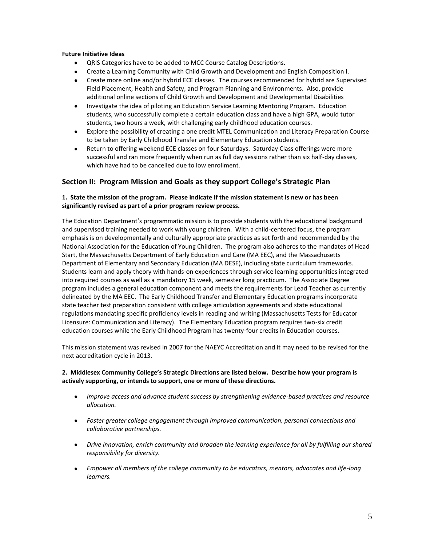#### **Future Initiative Ideas**

- QRIS Categories have to be added to MCC Course Catalog Descriptions.  $\bullet$
- Create a Learning Community with Child Growth and Development and English Composition I.
- Create more online and/or hybrid ECE classes. The courses recommended for hybrid are Supervised Field Placement, Health and Safety, and Program Planning and Environments. Also, provide additional online sections of Child Growth and Development and Developmental Disabilities
- Investigate the idea of piloting an Education Service Learning Mentoring Program. Education  $\bullet$ students, who successfully complete a certain education class and have a high GPA, would tutor students, two hours a week, with challenging early childhood education courses.
- $\bullet$ Explore the possibility of creating a one credit MTEL Communication and Literacy Preparation Course to be taken by Early Childhood Transfer and Elementary Education students.
- Return to offering weekend ECE classes on four Saturdays. Saturday Class offerings were more  $\bullet$ successful and ran more frequently when run as full day sessions rather than six half-day classes, which have had to be cancelled due to low enrollment.

### **Section II: Program Mission and Goals as they support College's Strategic Plan**

### **1. State the mission of the program. Please indicate if the mission statement is new or has been significantly revised as part of a prior program review process.**

The Education Department's programmatic mission is to provide students with the educational background and supervised training needed to work with young children. With a child-centered focus, the program emphasis is on developmentally and culturally appropriate practices as set forth and recommended by the National Association for the Education of Young Children. The program also adheres to the mandates of Head Start, the Massachusetts Department of Early Education and Care (MA EEC), and the Massachusetts Department of Elementary and Secondary Education (MA DESE), including state curriculum frameworks. Students learn and apply theory with hands-on experiences through service learning opportunities integrated into required courses as well as a mandatory 15 week, semester long practicum. The Associate Degree program includes a general education component and meets the requirements for Lead Teacher as currently delineated by the MA EEC. The Early Childhood Transfer and Elementary Education programs incorporate state teacher test preparation consistent with college articulation agreements and state educational regulations mandating specific proficiency levels in reading and writing (Massachusetts Tests for Educator Licensure: Communication and Literacy). The Elementary Education program requires two-six credit education courses while the Early Childhood Program has twenty-four credits in Education courses.

This mission statement was revised in 2007 for the NAEYC Accreditation and it may need to be revised for the next accreditation cycle in 2013.

### **2. Middlesex Community College's Strategic Directions are listed below. Describe how your program is actively supporting, or intends to support, one or more of these directions.**

- *Improve access and advance student success by strengthening evidence-based practices and resource allocation.*
- *Foster greater college engagement through improved communication, personal connections and collaborative partnerships.*
- *Drive innovation, enrich community and broaden the learning experience for all by fulfilling our shared responsibility for diversity.*
- *Empower all members of the college community to be educators, mentors, advocates and life-long learners.*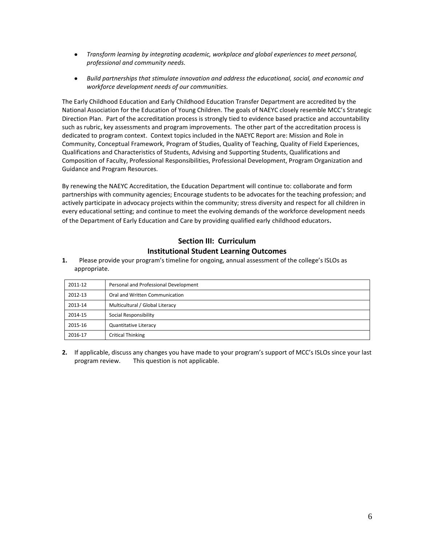- *Transform learning by integrating academic, workplace and global experiences to meet personal, professional and community needs.*
- *Build partnerships that stimulate innovation and address the educational, social, and economic and workforce development needs of our communities.*

The Early Childhood Education and Early Childhood Education Transfer Department are accredited by the National Association for the Education of Young Children. The goals of NAEYC closely resemble MCC's Strategic Direction Plan. Part of the accreditation process is strongly tied to evidence based practice and accountability such as rubric, key assessments and program improvements. The other part of the accreditation process is dedicated to program context. Context topics included in the NAEYC Report are: Mission and Role in Community, Conceptual Framework, Program of Studies, Quality of Teaching, Quality of Field Experiences, Qualifications and Characteristics of Students, Advising and Supporting Students, Qualifications and Composition of Faculty, Professional Responsibilities, Professional Development, Program Organization and Guidance and Program Resources.

By renewing the NAEYC Accreditation, the Education Department will continue to: collaborate and form partnerships with community agencies; Encourage students to be advocates for the teaching profession; and actively participate in advocacy projects within the community; stress diversity and respect for all children in every educational setting; and continue to meet the evolving demands of the workforce development needs of the Department of Early Education and Care by providing qualified early childhood educators.

## **Section III: Curriculum Institutional Student Learning Outcomes**

**1.** Please provide your program's timeline for ongoing, annual assessment of the college's ISLOs as appropriate.

| 2011-12 | Personal and Professional Development |
|---------|---------------------------------------|
| 2012-13 | Oral and Written Communication        |
| 2013-14 | Multicultural / Global Literacy       |
| 2014-15 | Social Responsibility                 |
| 2015-16 | <b>Quantitative Literacy</b>          |
| 2016-17 | <b>Critical Thinking</b>              |

**2.** If applicable, discuss any changes you have made to your program's support of MCC's ISLOs since your last program review. This question is not applicable.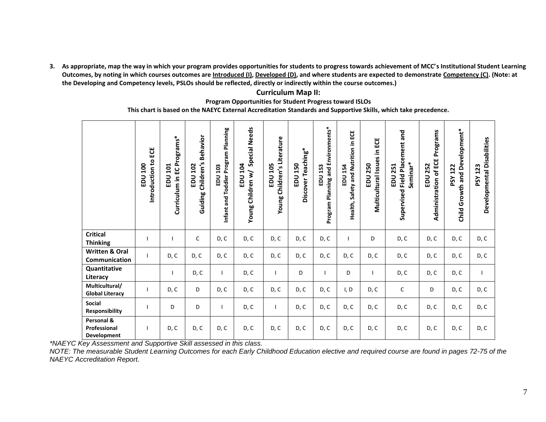**3. As appropriate, map the way in which your program provides opportunities for students to progress towards achievement of MCC's Institutional Student Learning**  Outcomes, by noting in which courses outcomes are **Introduced (I), Developed (D)**, and where students are expected to demonstrate Competency (C). (Note: at **the Developing and Competency levels, PSLOs should be reflected, directly or indirectly within the course outcomes.)**

### **Curriculum Map II:**

#### **Program Opportunities for Student Progress toward ISLOs**

**This chart is based on the NAEYC External Accreditation Standards and Supportive Skills, which take precedence.** 

|                                            | ပ္မ<br>Introduction to<br>EDU 100 | Programs*<br>101<br>Curriculum in EC<br>EDU | <b>Behavior</b><br>Children's<br>102<br>$\overline{5}$<br>Guiding | Program Planning<br>EDU 103<br>Infant and Toddler | <b>Special Needs</b><br><b>EDU 104</b><br>Young Children w/ | Young Children's Literature<br>EDU 105 | Discover Teaching*<br>EDU 150 | Program Planning and Environments*<br>153<br>$\frac{1}{2}$ | ECE<br>Safety and Nutrition in<br>EDU 154<br>Health, | ECE<br>≘.<br><b>Multicultural Issues</b><br><b>EDU 250</b> | Placement and<br>Seminar*<br><b>EDU 251</b><br>Supervised Field | Programs<br>Administration of ECE<br><b>EDU 252</b> | Child Growth and Development*<br><b>PSY 122</b> | Developmental Disabilities<br><b>PSY 123</b> |
|--------------------------------------------|-----------------------------------|---------------------------------------------|-------------------------------------------------------------------|---------------------------------------------------|-------------------------------------------------------------|----------------------------------------|-------------------------------|------------------------------------------------------------|------------------------------------------------------|------------------------------------------------------------|-----------------------------------------------------------------|-----------------------------------------------------|-------------------------------------------------|----------------------------------------------|
| <b>Critical</b><br><b>Thinking</b>         |                                   |                                             | C                                                                 | D, C                                              | D, C                                                        | D, C                                   | D, C                          | D, C                                                       |                                                      | D                                                          | D, C                                                            | D, C                                                | D, C                                            | D, C                                         |
| <b>Written &amp; Oral</b><br>Communication |                                   | D, C                                        | D, C                                                              | D, C                                              | D, C                                                        | D, C                                   | D, C                          | D, C                                                       | D, C                                                 | D, C                                                       | D, C                                                            | D, C                                                | D, C                                            | D, C                                         |
| Quantitative<br>Literacy                   |                                   |                                             | D, C                                                              |                                                   | D, C                                                        | $\mathbf{I}$                           | D                             |                                                            | D                                                    | $\mathbf{I}$                                               | D, C                                                            | D, C                                                | D, C                                            |                                              |
| Multicultural/<br><b>Global Literacy</b>   |                                   | D, C                                        | D                                                                 | D, C                                              | D, C                                                        | D, C                                   | D, C                          | D, C                                                       | I, D                                                 | D, C                                                       | $\mathsf C$                                                     | D                                                   | D, C                                            | D, C                                         |
| <b>Social</b><br>Responsibility            |                                   | D                                           | D                                                                 |                                                   | D, C                                                        | T                                      | D, C                          | D, C                                                       | D, C                                                 | D, C                                                       | D, C                                                            | D, C                                                | D, C                                            | D, C                                         |
| Personal &<br>Professional<br>Development  |                                   | D, C                                        | D, C                                                              | D, C                                              | D, C                                                        | D, C                                   | D, C                          | D, C                                                       | D, C                                                 | D, C                                                       | D, C                                                            | D, C                                                | D, C                                            | D, C                                         |

*\*NAEYC Key Assessment and Supportive Skill assessed in this class.*

*NOTE: The measurable Student Learning Outcomes for each Early Childhood Education elective and required course are found in pages 72-75 of the NAEYC Accreditation Report.*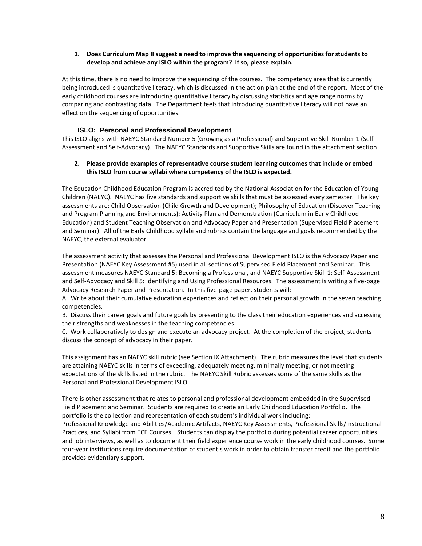#### **1. Does Curriculum Map II suggest a need to improve the sequencing of opportunities for students to develop and achieve any ISLO within the program? If so, please explain.**

At this time, there is no need to improve the sequencing of the courses. The competency area that is currently being introduced is quantitative literacy, which is discussed in the action plan at the end of the report. Most of the early childhood courses are introducing quantitative literacy by discussing statistics and age range norms by comparing and contrasting data. The Department feels that introducing quantitative literacy will not have an effect on the sequencing of opportunities.

### **ISLO: Personal and Professional Development**

This ISLO aligns with NAEYC Standard Number 5 (Growing as a Professional) and Supportive Skill Number 1 (Self-Assessment and Self-Advocacy). The NAEYC Standards and Supportive Skills are found in the attachment section.

#### **2. Please provide examples of representative course student learning outcomes that include or embed this ISLO from course syllabi where competency of the ISLO is expected.**

The Education Childhood Education Program is accredited by the National Association for the Education of Young Children (NAEYC). NAEYC has five standards and supportive skills that must be assessed every semester. The key assessments are: Child Observation (Child Growth and Development); Philosophy of Education (Discover Teaching and Program Planning and Environments); Activity Plan and Demonstration (Curriculum in Early Childhood Education) and Student Teaching Observation and Advocacy Paper and Presentation (Supervised Field Placement and Seminar). All of the Early Childhood syllabi and rubrics contain the language and goals recommended by the NAEYC, the external evaluator.

The assessment activity that assesses the Personal and Professional Development ISLO is the Advocacy Paper and Presentation (NAEYC Key Assessment #5) used in all sections of Supervised Field Placement and Seminar. This assessment measures NAEYC Standard 5: Becoming a Professional, and NAEYC Supportive Skill 1: Self-Assessment and Self-Advocacy and Skill 5: Identifying and Using Professional Resources. The assessment is writing a five-page Advocacy Research Paper and Presentation. In this five-page paper, students will:

A. Write about their cumulative education experiences and reflect on their personal growth in the seven teaching competencies.

B. Discuss their career goals and future goals by presenting to the class their education experiences and accessing their strengths and weaknesses in the teaching competencies.

C. Work collaboratively to design and execute an advocacy project. At the completion of the project, students discuss the concept of advocacy in their paper.

This assignment has an NAEYC skill rubric (see Section IX Attachment). The rubric measures the level that students are attaining NAEYC skills in terms of exceeding, adequately meeting, minimally meeting, or not meeting expectations of the skills listed in the rubric. The NAEYC Skill Rubric assesses some of the same skills as the Personal and Professional Development ISLO.

There is other assessment that relates to personal and professional development embedded in the Supervised Field Placement and Seminar. Students are required to create an Early Childhood Education Portfolio. The portfolio is the collection and representation of each student's individual work including: Professional Knowledge and Abilities/Academic Artifacts, NAEYC Key Assessments, Professional Skills/Instructional Practices, and Syllabi from ECE Courses.Students can display the portfolio during potential career opportunities and job interviews, as well as to document their field experience course work in the early childhood courses. Some four-year institutions require documentation of student's work in order to obtain transfer credit and the portfolio provides evidentiary support.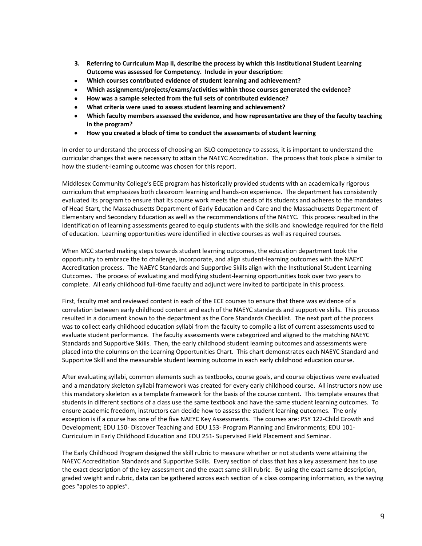- **3. Referring to Curriculum Map II, describe the process by which this Institutional Student Learning Outcome was assessed for Competency. Include in your description:**
- **Which courses contributed evidence of student learning and achievement?**   $\bullet$
- **Which assignments/projects/exams/activities within those courses generated the evidence?**
- **How was a sample selected from the full sets of contributed evidence?**
- **What criteria were used to assess student learning and achievement?**
- **Which faculty members assessed the evidence, and how representative are they of the faculty teaching in the program?**
- $\bullet$ **How you created a block of time to conduct the assessments of student learning**

In order to understand the process of choosing an ISLO competency to assess, it is important to understand the curricular changes that were necessary to attain the NAEYC Accreditation. The process that took place is similar to how the student-learning outcome was chosen for this report.

Middlesex Community College's ECE program has historically provided students with an academically rigorous curriculum that emphasizes both classroom learning and hands-on experience. The department has consistently evaluated its program to ensure that its course work meets the needs of its students and adheres to the mandates of Head Start, the Massachusetts Department of Early Education and Care and the Massachusetts Department of Elementary and Secondary Education as well as the recommendations of the NAEYC. This process resulted in the identification of learning assessments geared to equip students with the skills and knowledge required for the field of education. Learning opportunities were identified in elective courses as well as required courses.

When MCC started making steps towards student learning outcomes, the education department took the opportunity to embrace the to challenge, incorporate, and align student-learning outcomes with the NAEYC Accreditation process. The NAEYC Standards and Supportive Skills align with the Institutional Student Learning Outcomes. The process of evaluating and modifying student-learning opportunities took over two years to complete. All early childhood full-time faculty and adjunct were invited to participate in this process.

First, faculty met and reviewed content in each of the ECE courses to ensure that there was evidence of a correlation between early childhood content and each of the NAEYC standards and supportive skills. This process resulted in a document known to the department as the Core Standards Checklist. The next part of the process was to collect early childhood education syllabi from the faculty to compile a list of current assessments used to evaluate student performance. The faculty assessments were categorized and aligned to the matching NAEYC Standards and Supportive Skills. Then, the early childhood student learning outcomes and assessments were placed into the columns on the Learning Opportunities Chart. This chart demonstrates each NAEYC Standard and Supportive Skill and the measurable student learning outcome in each early childhood education course.

After evaluating syllabi, common elements such as textbooks, course goals, and course objectives were evaluated and a mandatory skeleton syllabi framework was created for every early childhood course. All instructors now use this mandatory skeleton as a template framework for the basis of the course content. This template ensures that students in different sections of a class use the same textbook and have the same student learning outcomes. To ensure academic freedom, instructors can decide how to assess the student learning outcomes. The only exception is if a course has one of the five NAEYC Key Assessments. The courses are: PSY 122-Child Growth and Development; EDU 150- Discover Teaching and EDU 153- Program Planning and Environments; EDU 101- Curriculum in Early Childhood Education and EDU 251- Supervised Field Placement and Seminar.

The Early Childhood Program designed the skill rubric to measure whether or not students were attaining the NAEYC Accreditation Standards and Supportive Skills. Every section of class that has a key assessment has to use the exact description of the key assessment and the exact same skill rubric. By using the exact same description, graded weight and rubric, data can be gathered across each section of a class comparing information, as the saying goes "apples to apples".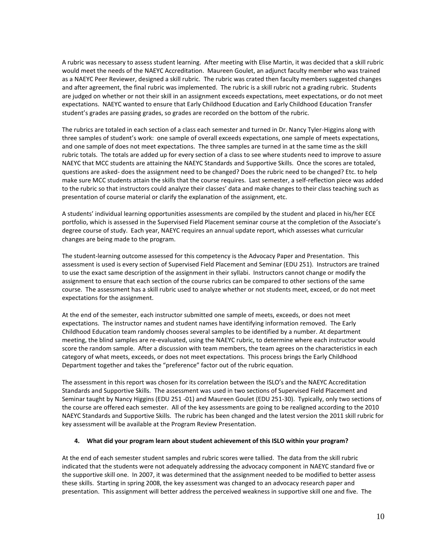A rubric was necessary to assess student learning. After meeting with Elise Martin, it was decided that a skill rubric would meet the needs of the NAEYC Accreditation. Maureen Goulet, an adjunct faculty member who was trained as a NAEYC Peer Reviewer, designed a skill rubric. The rubric was crated then faculty members suggested changes and after agreement, the final rubric was implemented. The rubric is a skill rubric not a grading rubric. Students are judged on whether or not their skill in an assignment exceeds expectations, meet expectations, or do not meet expectations. NAEYC wanted to ensure that Early Childhood Education and Early Childhood Education Transfer student's grades are passing grades, so grades are recorded on the bottom of the rubric.

The rubrics are totaled in each section of a class each semester and turned in Dr. Nancy Tyler-Higgins along with three samples of student's work: one sample of overall exceeds expectations, one sample of meets expectations, and one sample of does not meet expectations. The three samples are turned in at the same time as the skill rubric totals. The totals are added up for every section of a class to see where students need to improve to assure NAEYC that MCC students are attaining the NAEYC Standards and Supportive Skills. Once the scores are totaled, questions are asked- does the assignment need to be changed? Does the rubric need to be changed? Etc. to help make sure MCC students attain the skills that the course requires. Last semester, a self-reflection piece was added to the rubric so that instructors could analyze their classes' data and make changes to their class teaching such as presentation of course material or clarify the explanation of the assignment, etc.

A students' individual learning opportunities assessments are compiled by the student and placed in his/her ECE portfolio, which is assessed in the Supervised Field Placement seminar course at the completion of the Associate's degree course of study. Each year, NAEYC requires an annual update report, which assesses what curricular changes are being made to the program.

The student-learning outcome assessed for this competency is the Advocacy Paper and Presentation. This assessment is used is every section of Supervised Field Placement and Seminar (EDU 251). Instructors are trained to use the exact same description of the assignment in their syllabi. Instructors cannot change or modify the assignment to ensure that each section of the course rubrics can be compared to other sections of the same course. The assessment has a skill rubric used to analyze whether or not students meet, exceed, or do not meet expectations for the assignment.

At the end of the semester, each instructor submitted one sample of meets, exceeds, or does not meet expectations. The instructor names and student names have identifying information removed. The Early Childhood Education team randomly chooses several samples to be identified by a number. At department meeting, the blind samples are re-evaluated, using the NAEYC rubric, to determine where each instructor would score the random sample. After a discussion with team members, the team agrees on the characteristics in each category of what meets, exceeds, or does not meet expectations. This process brings the Early Childhood Department together and takes the "preference" factor out of the rubric equation.

The assessment in this report was chosen for its correlation between the ISLO's and the NAEYC Accreditation Standards and Supportive Skills. The assessment was used in two sections of Supervised Field Placement and Seminar taught by Nancy Higgins (EDU 251 -01) and Maureen Goulet (EDU 251-30). Typically, only two sections of the course are offered each semester. All of the key assessments are going to be realigned according to the 2010 NAEYC Standards and Supportive Skills. The rubric has been changed and the latest version the 2011 skill rubric for key assessment will be available at the Program Review Presentation.

#### **4. What did your program learn about student achievement of this ISLO within your program?**

At the end of each semester student samples and rubric scores were tallied. The data from the skill rubric indicated that the students were not adequately addressing the advocacy component in NAEYC standard five or the supportive skill one. In 2007, it was determined that the assignment needed to be modified to better assess these skills. Starting in spring 2008, the key assessment was changed to an advocacy research paper and presentation. This assignment will better address the perceived weakness in supportive skill one and five. The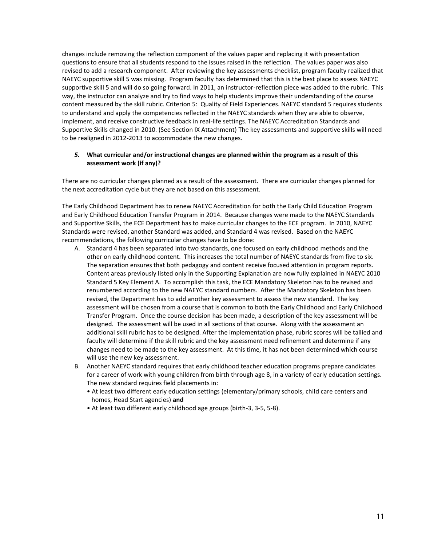changes include removing the reflection component of the values paper and replacing it with presentation questions to ensure that all students respond to the issues raised in the reflection. The values paper was also revised to add a research component. After reviewing the key assessments checklist, program faculty realized that NAEYC supportive skill 5 was missing. Program faculty has determined that this is the best place to assess NAEYC supportive skill 5 and will do so going forward. In 2011, an instructor-reflection piece was added to the rubric. This way, the instructor can analyze and try to find ways to help students improve their understanding of the course content measured by the skill rubric. Criterion 5: Quality of Field Experiences. NAEYC standard 5 requires students to understand and apply the competencies reflected in the NAEYC standards when they are able to observe, implement, and receive constructive feedback in real-life settings. The NAEYC Accreditation Standards and Supportive Skills changed in 2010. (See Section IX Attachment) The key assessments and supportive skills will need to be realigned in 2012-2013 to accommodate the new changes.

#### *5.* **What curricular and/or instructional changes are planned within the program as a result of this assessment work (if any)?**

There are no curricular changes planned as a result of the assessment. There are curricular changes planned for the next accreditation cycle but they are not based on this assessment.

The Early Childhood Department has to renew NAEYC Accreditation for both the Early Child Education Program and Early Childhood Education Transfer Program in 2014. Because changes were made to the NAEYC Standards and Supportive Skills, the ECE Department has to make curricular changes to the ECE program. In 2010, NAEYC Standards were revised, another Standard was added, and Standard 4 was revised. Based on the NAEYC recommendations, the following curricular changes have to be done:

- A. Standard 4 has been separated into two standards, one focused on early childhood methods and the other on early childhood content. This increases the total number of NAEYC standards from five to six. The separation ensures that both pedagogy and content receive focused attention in program reports. Content areas previously listed only in the Supporting Explanation are now fully explained in NAEYC 2010 Standard 5 Key Element A. To accomplish this task, the ECE Mandatory Skeleton has to be revised and renumbered according to the new NAEYC standard numbers. After the Mandatory Skeleton has been revised, the Department has to add another key assessment to assess the new standard. The key assessment will be chosen from a course that is common to both the Early Childhood and Early Childhood Transfer Program. Once the course decision has been made, a description of the key assessment will be designed. The assessment will be used in all sections of that course. Along with the assessment an additional skill rubric has to be designed. After the implementation phase, rubric scores will be tallied and faculty will determine if the skill rubric and the key assessment need refinement and determine if any changes need to be made to the key assessment. At this time, it has not been determined which course will use the new key assessment.
- B. Another NAEYC standard requires that early childhood teacher education programs prepare candidates for a career of work with young children from birth through age 8, in a variety of early education settings. The new standard requires field placements in:
	- At least two different early education settings (elementary/primary schools, child care centers and homes, Head Start agencies) **and**
	- At least two different early childhood age groups (birth-3, 3-5, 5-8).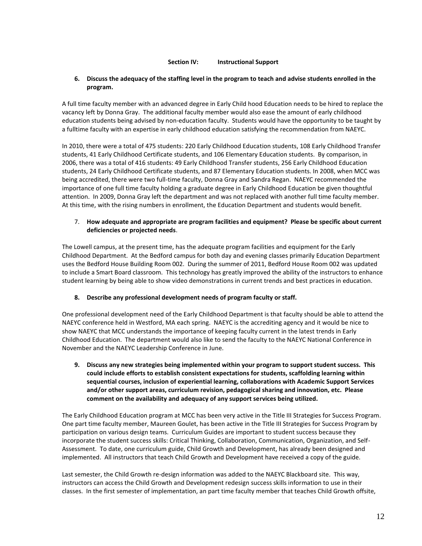#### **Section IV: Instructional Support**

#### **6. Discuss the adequacy of the staffing level in the program to teach and advise students enrolled in the program.**

A full time faculty member with an advanced degree in Early Child hood Education needs to be hired to replace the vacancy left by Donna Gray. The additional faculty member would also ease the amount of early childhood education students being advised by non-education faculty. Students would have the opportunity to be taught by a fulltime faculty with an expertise in early childhood education satisfying the recommendation from NAEYC.

In 2010, there were a total of 475 students: 220 Early Childhood Education students, 108 Early Childhood Transfer students, 41 Early Childhood Certificate students, and 106 Elementary Education students. By comparison, in 2006, there was a total of 416 students: 49 Early Childhood Transfer students, 256 Early Childhood Education students, 24 Early Childhood Certificate students, and 87 Elementary Education students. In 2008, when MCC was being accredited, there were two full-time faculty, Donna Gray and Sandra Regan. NAEYC recommended the importance of one full time faculty holding a graduate degree in Early Childhood Education be given thoughtful attention. In 2009, Donna Gray left the department and was not replaced with another full time faculty member. At this time, with the rising numbers in enrollment, the Education Department and students would benefit.

### 7. **How adequate and appropriate are program facilities and equipment? Please be specific about current deficiencies or projected needs**.

The Lowell campus, at the present time, has the adequate program facilities and equipment for the Early Childhood Department. At the Bedford campus for both day and evening classes primarily Education Department uses the Bedford House Building Room 002. During the summer of 2011, Bedford House Room 002 was updated to include a Smart Board classroom. This technology has greatly improved the ability of the instructors to enhance student learning by being able to show video demonstrations in current trends and best practices in education.

### **8. Describe any professional development needs of program faculty or staff.**

One professional development need of the Early Childhood Department is that faculty should be able to attend the NAEYC conference held in Westford, MA each spring. NAEYC is the accrediting agency and it would be nice to show NAEYC that MCC understands the importance of keeping faculty current in the latest trends in Early Childhood Education. The department would also like to send the faculty to the NAEYC National Conference in November and the NAEYC Leadership Conference in June.

**9. Discuss any new strategies being implemented within your program to support student success. This could include efforts to establish consistent expectations for students, scaffolding learning within sequential courses, inclusion of experiential learning, collaborations with Academic Support Services and/or other support areas, curriculum revision, pedagogical sharing and innovation, etc. Please comment on the availability and adequacy of any support services being utilized.** 

The Early Childhood Education program at MCC has been very active in the Title III Strategies for Success Program. One part time faculty member, Maureen Goulet, has been active in the Title III Strategies for Success Program by participation on various design teams. Curriculum Guides are important to student success because they incorporate the student success skills: Critical Thinking, Collaboration, Communication, Organization, and Self-Assessment. To date, one curriculum guide, Child Growth and Development, has already been designed and implemented. All instructors that teach Child Growth and Development have received a copy of the guide.

Last semester, the Child Growth re-design information was added to the NAEYC Blackboard site. This way, instructors can access the Child Growth and Development redesign success skills information to use in their classes. In the first semester of implementation, an part time faculty member that teaches Child Growth offsite,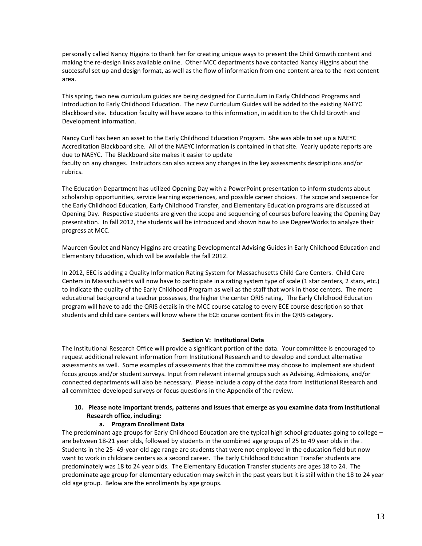personally called Nancy Higgins to thank her for creating unique ways to present the Child Growth content and making the re-design links available online. Other MCC departments have contacted Nancy Higgins about the successful set up and design format, as well as the flow of information from one content area to the next content area.

This spring, two new curriculum guides are being designed for Curriculum in Early Childhood Programs and Introduction to Early Childhood Education. The new Curriculum Guides will be added to the existing NAEYC Blackboard site. Education faculty will have access to this information, in addition to the Child Growth and Development information.

Nancy Curll has been an asset to the Early Childhood Education Program. She was able to set up a NAEYC Accreditation Blackboard site. All of the NAEYC information is contained in that site. Yearly update reports are due to NAEYC. The Blackboard site makes it easier to update faculty on any changes. Instructors can also access any changes in the key assessments descriptions and/or rubrics.

The Education Department has utilized Opening Day with a PowerPoint presentation to inform students about scholarship opportunities, service learning experiences, and possible career choices. The scope and sequence for the Early Childhood Education, Early Childhood Transfer, and Elementary Education programs are discussed at Opening Day. Respective students are given the scope and sequencing of courses before leaving the Opening Day presentation. In fall 2012, the students will be introduced and shown how to use DegreeWorks to analyze their progress at MCC.

Maureen Goulet and Nancy Higgins are creating Developmental Advising Guides in Early Childhood Education and Elementary Education, which will be available the fall 2012.

In 2012, EEC is adding a Quality Information Rating System for Massachusetts Child Care Centers. Child Care Centers in Massachusetts will now have to participate in a rating system type of scale (1 star centers, 2 stars, etc.) to indicate the quality of the Early Childhood Program as well as the staff that work in those centers. The more educational background a teacher possesses, the higher the center QRIS rating. The Early Childhood Education program will have to add the QRIS details in the MCC course catalog to every ECE course description so that students and child care centers will know where the ECE course content fits in the QRIS category.

#### **Section V: Institutional Data**

The Institutional Research Office will provide a significant portion of the data. Your committee is encouraged to request additional relevant information from Institutional Research and to develop and conduct alternative assessments as well. Some examples of assessments that the committee may choose to implement are student focus groups and/or student surveys. Input from relevant internal groups such as Advising, Admissions, and/or connected departments will also be necessary. Please include a copy of the data from Institutional Research and all committee-developed surveys or focus questions in the Appendix of the review.

### **10. Please note important trends, patterns and issues that emerge as you examine data from Institutional Research office, including:**

#### **a. Program Enrollment Data**

The predominant age groups for Early Childhood Education are the typical high school graduates going to college – are between 18-21 year olds, followed by students in the combined age groups of 25 to 49 year olds in the . Students in the 25- 49-year-old age range are students that were not employed in the education field but now want to work in childcare centers as a second career. The Early Childhood Education Transfer students are predominately was 18 to 24 year olds. The Elementary Education Transfer students are ages 18 to 24. The predominate age group for elementary education may switch in the past years but it is still within the 18 to 24 year old age group. Below are the enrollments by age groups.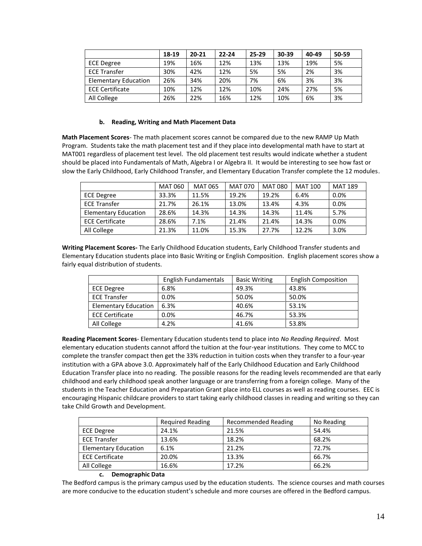|                             | 18-19 | $20 - 21$ | $22 - 24$ | $25-29$ | 30-39 | 40-49 | 50-59 |
|-----------------------------|-------|-----------|-----------|---------|-------|-------|-------|
| <b>ECE Degree</b>           | 19%   | 16%       | 12%       | 13%     | 13%   | 19%   | 5%    |
| <b>ECE Transfer</b>         | 30%   | 42%       | 12%       | 5%      | 5%    | 2%    | 3%    |
| <b>Elementary Education</b> | 26%   | 34%       | 20%       | 7%      | 6%    | 3%    | 3%    |
| <b>ECE Certificate</b>      | 10%   | 12%       | 12%       | 10%     | 24%   | 27%   | 5%    |
| All College                 | 26%   | 22%       | 16%       | 12%     | 10%   | 6%    | 3%    |

#### **b. Reading, Writing and Math Placement Data**

**Math Placement Scores**- The math placement scores cannot be compared due to the new RAMP Up Math Program. Students take the math placement test and if they place into developmental math have to start at MAT001 regardless of placement test level. The old placement test results would indicate whether a student should be placed into Fundamentals of Math, Algebra I or Algebra II. It would be interesting to see how fast or slow the Early Childhood, Early Childhood Transfer, and Elementary Education Transfer complete the 12 modules.

|                             | <b>MAT 060</b> | <b>MAT 065</b> | MAT 070 | <b>MAT 080</b> | <b>MAT 100</b> | <b>MAT 189</b> |
|-----------------------------|----------------|----------------|---------|----------------|----------------|----------------|
| ECE Degree                  | 33.3%          | 11.5%          | 19.2%   | 19.2%          | 6.4%           | 0.0%           |
| <b>ECE Transfer</b>         | 21.7%          | 26.1%          | 13.0%   | 13.4%          | 4.3%           | 0.0%           |
| <b>Elementary Education</b> | 28.6%          | 14.3%          | 14.3%   | 14.3%          | 11.4%          | 5.7%           |
| <b>ECE Certificate</b>      | 28.6%          | 7.1%           | 21.4%   | 21.4%          | 14.3%          | 0.0%           |
| All College                 | 21.3%          | 11.0%          | 15.3%   | 27.7%          | 12.2%          | 3.0%           |

**Writing Placement Scores-** The Early Childhood Education students, Early Childhood Transfer students and Elementary Education students place into Basic Writing or English Composition.English placement scores show a fairly equal distribution of students.

|                             | English Fundamentals | <b>Basic Writing</b> | <b>English Composition</b> |
|-----------------------------|----------------------|----------------------|----------------------------|
| <b>ECE Degree</b>           | 6.8%                 | 49.3%                | 43.8%                      |
| <b>ECE Transfer</b>         | 0.0%                 | 50.0%                | 50.0%                      |
| <b>Elementary Education</b> | 6.3%                 | 40.6%                | 53.1%                      |
| <b>ECE Certificate</b>      | 0.0%                 | 46.7%                | 53.3%                      |
| All College                 | 4.2%                 | 41.6%                | 53.8%                      |

**Reading Placement Scores**- Elementary Education students tend to place into *No Reading Required*. Most elementary education students cannot afford the tuition at the four-year institutions. They come to MCC to complete the transfer compact then get the 33% reduction in tuition costs when they transfer to a four-year institution with a GPA above 3.0. Approximately half of the Early Childhood Education and Early Childhood Education Transfer place into no reading. The possible reasons for the reading levels recommended are that early childhood and early childhood speak another language or are transferring from a foreign college. Many of the students in the Teacher Education and Preparation Grant place into ELL courses as well as reading courses. EEC is encouraging Hispanic childcare providers to start taking early childhood classes in reading and writing so they can take Child Growth and Development.

|                             | <b>Required Reading</b> | <b>Recommended Reading</b> | No Reading |
|-----------------------------|-------------------------|----------------------------|------------|
| <b>ECE Degree</b>           | 24.1%                   | 21.5%                      | 54.4%      |
| <b>ECE Transfer</b>         | 13.6%                   | 18.2%                      | 68.2%      |
| <b>Elementary Education</b> | 6.1%                    | 21.2%                      | 72.7%      |
| <b>ECE Certificate</b>      | 20.0%                   | 13.3%                      | 66.7%      |
| All College                 | 16.6%                   | 17.2%                      | 66.2%      |

#### **c. Demographic Data**

The Bedford campus is the primary campus used by the education students. The science courses and math courses are more conducive to the education student's schedule and more courses are offered in the Bedford campus.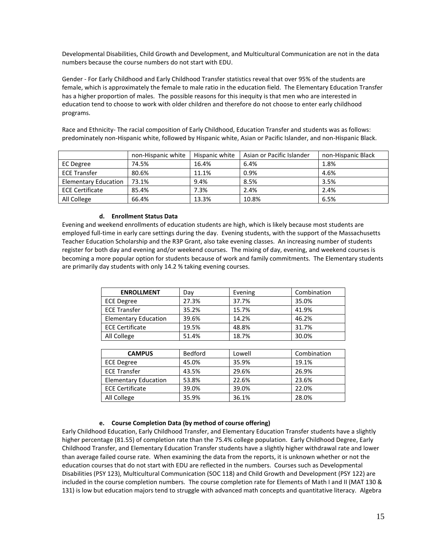Developmental Disabilities, Child Growth and Development, and Multicultural Communication are not in the data numbers because the course numbers do not start with EDU.

Gender - For Early Childhood and Early Childhood Transfer statistics reveal that over 95% of the students are female, which is approximately the female to male ratio in the education field. The Elementary Education Transfer has a higher proportion of males. The possible reasons for this inequity is that men who are interested in education tend to choose to work with older children and therefore do not choose to enter early childhood programs.

Race and Ethnicity- The racial composition of Early Childhood, Education Transfer and students was as follows: predominately non-Hispanic white, followed by Hispanic white, Asian or Pacific Islander, and non-Hispanic Black.

|                             | non-Hispanic white | Hispanic white | Asian or Pacific Islander | non-Hispanic Black |
|-----------------------------|--------------------|----------------|---------------------------|--------------------|
| EC Degree                   | 74.5%              | 16.4%          | 6.4%                      | 1.8%               |
| <b>ECE Transfer</b>         | 80.6%              | 11.1%          | 0.9%                      | 4.6%               |
| <b>Elementary Education</b> | 73.1%              | 9.4%           | 8.5%                      | 3.5%               |
| <b>ECE Certificate</b>      | 85.4%              | 7.3%           | 2.4%                      | 2.4%               |
| All College                 | 66.4%              | 13.3%          | 10.8%                     | 6.5%               |

#### **d. Enrollment Status Data**

Evening and weekend enrollments of education students are high, which is likely because most students are employed full-time in early care settings during the day. Evening students, with the support of the Massachusetts Teacher Education Scholarship and the R3P Grant, also take evening classes. An increasing number of students register for both day and evening and/or weekend courses. The mixing of day, evening, and weekend courses is becoming a more popular option for students because of work and family commitments. The Elementary students are primarily day students with only 14.2 % taking evening courses.

| <b>ENROLLMENT</b>           | Day   | Evening | Combination |
|-----------------------------|-------|---------|-------------|
| <b>ECE Degree</b>           | 27.3% | 37.7%   | 35.0%       |
| <b>ECE Transfer</b>         | 35.2% | 15.7%   | 41.9%       |
| <b>Elementary Education</b> | 39.6% | 14.2%   | 46.2%       |
| <b>ECE Certificate</b>      | 19.5% | 48.8%   | 31.7%       |
| All College                 | 51.4% | 18.7%   | 30.0%       |

| <b>CAMPUS</b>               | <b>Bedford</b> | Lowell | Combination |
|-----------------------------|----------------|--------|-------------|
| <b>ECE Degree</b>           | 45.0%          | 35.9%  | 19.1%       |
| <b>ECE Transfer</b>         | 43.5%          | 29.6%  | 26.9%       |
| <b>Elementary Education</b> | 53.8%          | 22.6%  | 23.6%       |
| <b>ECE Certificate</b>      | 39.0%          | 39.0%  | 22.0%       |
| All College                 | 35.9%          | 36.1%  | 28.0%       |

#### **e. Course Completion Data (by method of course offering)**

Early Childhood Education, Early Childhood Transfer, and Elementary Education Transfer students have a slightly higher percentage (81.55) of completion rate than the 75.4% college population. Early Childhood Degree, Early Childhood Transfer, and Elementary Education Transfer students have a slightly higher withdrawal rate and lower than average failed course rate. When examining the data from the reports, it is unknown whether or not the education courses that do not start with EDU are reflected in the numbers. Courses such as Developmental Disabilities (PSY 123), Multicultural Communication (SOC 118) and Child Growth and Development (PSY 122) are included in the course completion numbers. The course completion rate for Elements of Math I and II (MAT 130 & 131) is low but education majors tend to struggle with advanced math concepts and quantitative literacy. Algebra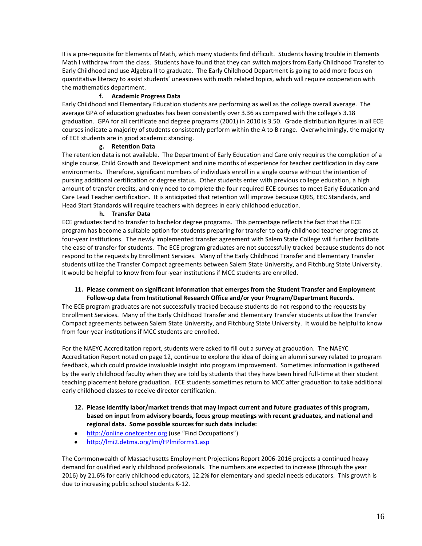II is a pre-requisite for Elements of Math, which many students find difficult. Students having trouble in Elements Math I withdraw from the class. Students have found that they can switch majors from Early Childhood Transfer to Early Childhood and use Algebra II to graduate. The Early Childhood Department is going to add more focus on quantitative literacy to assist students' uneasiness with math related topics, which will require cooperation with the mathematics department.

#### **f. Academic Progress Data**

Early Childhood and Elementary Education students are performing as well as the college overall average. The average GPA of education graduates has been consistently over 3.36 as compared with the college's 3.18 graduation. GPA for all certificate and degree programs (2001) in 2010 is 3.50. Grade distribution figures in all ECE courses indicate a majority of students consistently perform within the A to B range. Overwhelmingly, the majority of ECE students are in good academic standing.

#### **g. Retention Data**

The retention data is not available. The Department of Early Education and Care only requires the completion of a single course, Child Growth and Development and nine months of experience for teacher certification in day care environments. Therefore, significant numbers of individuals enroll in a single course without the intention of pursing additional certification or degree status. Other students enter with previous college education, a high amount of transfer credits, and only need to complete the four required ECE courses to meet Early Education and Care Lead Teacher certification. It is anticipated that retention will improve because QRIS, EEC Standards, and Head Start Standards will require teachers with degrees in early childhood education.

#### **h. Transfer Data**

ECE graduates tend to transfer to bachelor degree programs. This percentage reflects the fact that the ECE program has become a suitable option for students preparing for transfer to early childhood teacher programs at four-year institutions. The newly implemented transfer agreement with Salem State College will further facilitate the ease of transfer for students. The ECE program graduates are not successfully tracked because students do not respond to the requests by Enrollment Services. Many of the Early Childhood Transfer and Elementary Transfer students utilize the Transfer Compact agreements between Salem State University, and Fitchburg State University. It would be helpful to know from four-year institutions if MCC students are enrolled.

#### **11. Please comment on significant information that emerges from the Student Transfer and Employment Follow-up data from Institutional Research Office and/or your Program/Department Records.**

The ECE program graduates are not successfully tracked because students do not respond to the requests by Enrollment Services. Many of the Early Childhood Transfer and Elementary Transfer students utilize the Transfer Compact agreements between Salem State University, and Fitchburg State University. It would be helpful to know from four-year institutions if MCC students are enrolled.

For the NAEYC Accreditation report, students were asked to fill out a survey at graduation. The NAEYC Accreditation Report noted on page 12, continue to explore the idea of doing an alumni survey related to program feedback, which could provide invaluable insight into program improvement. Sometimes information is gathered by the early childhood faculty when they are told by students that they have been hired full-time at their student teaching placement before graduation. ECE students sometimes return to MCC after graduation to take additional early childhood classes to receive director certification.

- **12. Please identify labor/market trends that may impact current and future graduates of this program, based on input from advisory boards, focus group meetings with recent graduates, and national and regional data. Some possible sources for such data include:**
- $\bullet$ [http://online.onetcenter.org](http://online.onetcenter.org/) (use "Find Occupations")
- <http://lmi2.detma.org/lmi/FPlmiforms1.asp>  $\bullet$

The Commonwealth of Massachusetts Employment Projections Report 2006-2016 projects a continued heavy demand for qualified early childhood professionals. The numbers are expected to increase (through the year 2016) by 21.6% for early childhood educators, 12.2% for elementary and special needs educators. This growth is due to increasing public school students K-12.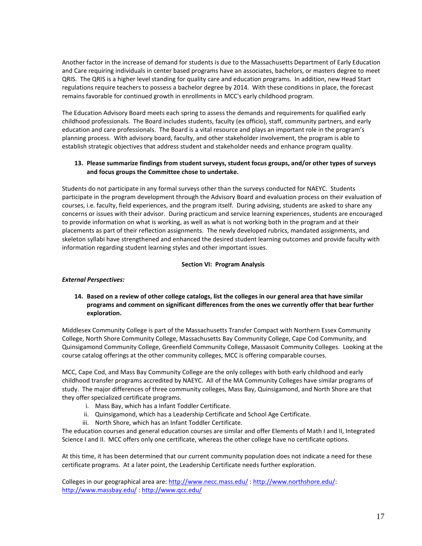Another factor in the increase of demand for students is due to the Massachusetts Department of Early Education and Care requiring individuals in center based programs have an associates, bachelors, or masters degree to meet QRIS. The QRIS is a higher level standing for quality care and education programs. In addition, new Head Start regulations require teachers to possess a bachelor degree by 2014. With these conditions in place, the forecast remains favorable for continued growth in enrollments in MCC's early childhood program.

The Education Advisory Board meets each spring to assess the demands and requirements for qualified early childhood professionals. The Board includes students, faculty (ex officio), staff, community partners, and early education and care professionals. The Board is a vital resource and plays an important role in the program's planning process. With advisory board, faculty, and other stakeholder involvement, the program is able to establish strategic objectives that address student and stakeholder needs and enhance program quality.

### **13. Please summarize findings from student surveys, student focus groups, and/or other types of surveys and focus groups the Committee chose to undertake.**

Students do not participate in any formal surveys other than the surveys conducted for NAEYC. Students participate in the program development through the Advisory Board and evaluation process on their evaluation of courses, i.e. faculty, field experiences, and the program itself. During advising, students are asked to share any concerns or issues with their advisor. During practicum and service learning experiences, students are encouraged to provide information on what is working, as well as what is not working both in the program and at their placements as part of their reflection assignments. The newly developed rubrics, mandated assignments, and skeleton syllabi have strengthened and enhanced the desired student learning outcomes and provide faculty with information regarding student learning styles and other important issues.

#### **Section VI: Program Analysis**

### *External Perspectives:*

#### **14. Based on a review of other college catalogs, list the colleges in our general area that have similar programs and comment on significant differences from the ones we currently offer that bear further exploration.**

Middlesex Community College is part of the Massachusetts Transfer Compact with Northern Essex Community College, North Shore Community College, Massachusetts Bay Community College, Cape Cod Community, and Quinsigamond Community College, Greenfield Community College, Massasoit Community Colleges. Looking at the course catalog offerings at the other community colleges, MCC is offering comparable courses.

MCC, Cape Cod, and Mass Bay Community College are the only colleges with both early childhood and early childhood transfer programs accredited by NAEYC. All of the MA Community Colleges have similar programs of study. The major differences of three community colleges, Mass Bay, Quinsigamond, and North Shore are that they offer specialized certificate programs.

- i. Mass Bay, which has a Infant Toddler Certificate.
- ii. Quinsigamond, which has a Leadership Certificate and School Age Certificate.
- iii. North Shore, which has an Infant Toddler Certificate.

The education courses and general education courses are similar and offer Elements of Math I and II, Integrated Science I and II. MCC offers only one certificate, whereas the other college have no certificate options.

At this time, it has been determined that our current community population does not indicate a need for these certificate programs. At a later point, the Leadership Certificate needs further exploration.

Colleges in our geographical area are:<http://www.necc.mass.edu/> : http://www.northshore.edu/: <http://www.massbay.edu/> :<http://www.qcc.edu/>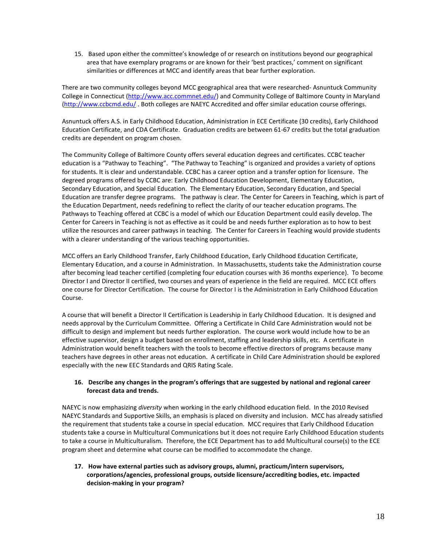15. Based upon either the committee's knowledge of or research on institutions beyond our geographical area that have exemplary programs or are known for their 'best practices,' comment on significant similarities or differences at MCC and identify areas that bear further exploration.

There are two community colleges beyond MCC geographical area that were researched- Asnuntuck Community College in Connecticut [\(http://www.acc.commnet.edu/\)](http://www.acc.commnet.edu/) and Community College of Baltimore County in Maryland [\(http://www.ccbcmd.edu/](http://www.ccbcmd.edu/) . Both colleges are NAEYC Accredited and offer similar education course offerings.

Asnuntuck offers A.S. in Early Childhood Education, Administration in ECE Certificate (30 credits), Early Childhood Education Certificate, and CDA Certificate. Graduation credits are between 61-67 credits but the total graduation credits are dependent on program chosen.

The Community College of Baltimore County offers several education degrees and certificates. CCBC teacher education is a "Pathway to Teaching". "The Pathway to Teaching" is organized and provides a variety of options for students. It is clear and understandable. CCBC has a career option and a transfer option for licensure. The degreed programs offered by CCBC are: Early Childhood Education Development, Elementary Education, Secondary Education, and Special Education. The Elementary Education, Secondary Education, and Special Education are transfer degree programs. The pathway is clear. The Center for Careers in Teaching, which is part of the Education Department, needs redefining to reflect the clarity of our teacher education programs. The Pathways to Teaching offered at CCBC is a model of which our Education Department could easily develop. The Center for Careers in Teaching is not as effective as it could be and needs further exploration as to how to best utilize the resources and career pathways in teaching. The Center for Careers in Teaching would provide students with a clearer understanding of the various teaching opportunities.

MCC offers an Early Childhood Transfer, Early Childhood Education, Early Childhood Education Certificate, Elementary Education, and a course in Administration. In Massachusetts, students take the Administration course after becoming lead teacher certified (completing four education courses with 36 months experience). To become Director I and Director II certified, two courses and years of experience in the field are required. MCC ECE offers one course for Director Certification. The course for Director I is the Administration in Early Childhood Education Course.

A course that will benefit a Director II Certification is Leadership in Early Childhood Education. It is designed and needs approval by the Curriculum Committee. Offering a Certificate in Child Care Administration would not be difficult to design and implement but needs further exploration. The course work would include how to be an effective supervisor, design a budget based on enrollment, staffing and leadership skills, etc. A certificate in Administration would benefit teachers with the tools to become effective directors of programs because many teachers have degrees in other areas not education. A certificate in Child Care Administration should be explored especially with the new EEC Standards and QRIS Rating Scale.

### **16. Describe any changes in the program's offerings that are suggested by national and regional career forecast data and trends.**

NAEYC is now emphasizing *diversity* when working in the early childhood education field. In the 2010 Revised NAEYC Standards and Supportive Skills, an emphasis is placed on diversity and inclusion. MCC has already satisfied the requirement that students take a course in special education. MCC requires that Early Childhood Education students take a course in Multicultural Communications but it does not require Early Childhood Education students to take a course in Multiculturalism. Therefore, the ECE Department has to add Multicultural course(s) to the ECE program sheet and determine what course can be modified to accommodate the change.

**17. How have external parties such as advisory groups, alumni, practicum/intern supervisors, corporations/agencies, professional groups, outside licensure/accrediting bodies, etc. impacted decision-making in your program?**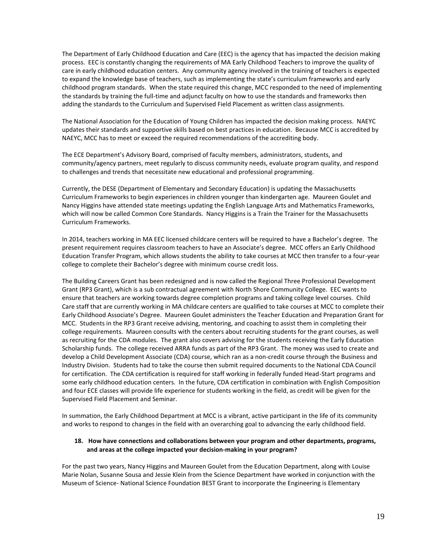The Department of Early Childhood Education and Care (EEC) is the agency that has impacted the decision making process. EEC is constantly changing the requirements of MA Early Childhood Teachers to improve the quality of care in early childhood education centers. Any community agency involved in the training of teachers is expected to expand the knowledge base of teachers, such as implementing the state's curriculum frameworks and early childhood program standards. When the state required this change, MCC responded to the need of implementing the standards by training the full-time and adjunct faculty on how to use the standards and frameworks then adding the standards to the Curriculum and Supervised Field Placement as written class assignments.

The National Association for the Education of Young Children has impacted the decision making process. NAEYC updates their standards and supportive skills based on best practices in education. Because MCC is accredited by NAEYC, MCC has to meet or exceed the required recommendations of the accrediting body.

The ECE Department's Advisory Board, comprised of faculty members, administrators, students, and community/agency partners, meet regularly to discuss community needs, evaluate program quality, and respond to challenges and trends that necessitate new educational and professional programming.

Currently, the DESE (Department of Elementary and Secondary Education) is updating the Massachusetts Curriculum Frameworks to begin experiences in children younger than kindergarten age. Maureen Goulet and Nancy Higgins have attended state meetings updating the English Language Arts and Mathematics Frameworks, which will now be called Common Core Standards. Nancy Higgins is a Train the Trainer for the Massachusetts Curriculum Frameworks.

In 2014, teachers working in MA EEC licensed childcare centers will be required to have a Bachelor's degree. The present requirement requires classroom teachers to have an Associate's degree. MCC offers an Early Childhood Education Transfer Program, which allows students the ability to take courses at MCC then transfer to a four-year college to complete their Bachelor's degree with minimum course credit loss.

The Building Careers Grant has been redesigned and is now called the Regional Three Professional Development Grant (RP3 Grant), which is a sub contractual agreement with North Shore Community College. EEC wants to ensure that teachers are working towards degree completion programs and taking college level courses. Child Care staff that are currently working in MA childcare centers are qualified to take courses at MCC to complete their Early Childhood Associate's Degree. Maureen Goulet administers the Teacher Education and Preparation Grant for MCC. Students in the RP3 Grant receive advising, mentoring, and coaching to assist them in completing their college requirements. Maureen consults with the centers about recruiting students for the grant courses, as well as recruiting for the CDA modules. The grant also covers advising for the students receiving the Early Education Scholarship funds. The college received ARRA funds as part of the RP3 Grant. The money was used to create and develop a Child Development Associate (CDA) course, which ran as a non-credit course through the Business and Industry Division. Students had to take the course then submit required documents to the National CDA Council for certification. The CDA certification is required for staff working in federally funded Head-Start programs and some early childhood education centers. In the future, CDA certification in combination with English Composition and four ECE classes will provide life experience for students working in the field, as credit will be given for the Supervised Field Placement and Seminar.

In summation, the Early Childhood Department at MCC is a vibrant, active participant in the life of its community and works to respond to changes in the field with an overarching goal to advancing the early childhood field.

#### **18. How have connections and collaborations between your program and other departments, programs, and areas at the college impacted your decision-making in your program?**

For the past two years, Nancy Higgins and Maureen Goulet from the Education Department, along with Louise Marie Nolan, Susanne Sousa and Jessie Klein from the Science Department have worked in conjunction with the Museum of Science- National Science Foundation BEST Grant to incorporate the Engineering is Elementary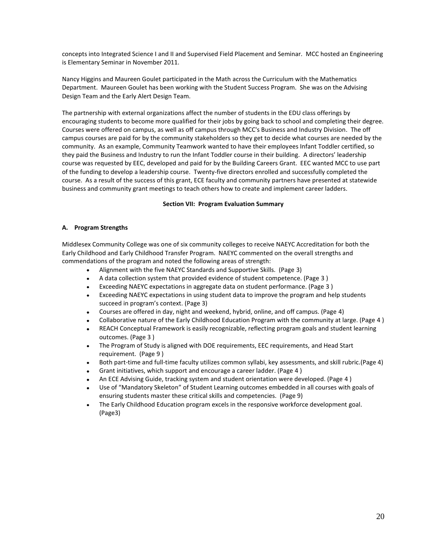concepts into Integrated Science I and II and Supervised Field Placement and Seminar. MCC hosted an Engineering is Elementary Seminar in November 2011.

Nancy Higgins and Maureen Goulet participated in the Math across the Curriculum with the Mathematics Department. Maureen Goulet has been working with the Student Success Program. She was on the Advising Design Team and the Early Alert Design Team.

The partnership with external organizations affect the number of students in the EDU class offerings by encouraging students to become more qualified for their jobs by going back to school and completing their degree. Courses were offered on campus, as well as off campus through MCC's Business and Industry Division. The off campus courses are paid for by the community stakeholders so they get to decide what courses are needed by the community. As an example, Community Teamwork wanted to have their employees Infant Toddler certified, so they paid the Business and Industry to run the Infant Toddler course in their building. A directors' leadership course was requested by EEC, developed and paid for by the Building Careers Grant. EEC wanted MCC to use part of the funding to develop a leadership course. Twenty-five directors enrolled and successfully completed the course. As a result of the success of this grant, ECE faculty and community partners have presented at statewide business and community grant meetings to teach others how to create and implement career ladders.

#### **Section VII: Program Evaluation Summary**

#### **A. Program Strengths**

Middlesex Community College was one of six community colleges to receive NAEYC Accreditation for both the Early Childhood and Early Childhood Transfer Program. NAEYC commented on the overall strengths and commendations of the program and noted the following areas of strength:

- Alignment with the five NAEYC Standards and Supportive Skills. (Page 3)  $\bullet$
- A data collection system that provided evidence of student competence. (Page 3 )  $\bullet$
- $\bullet$ Exceeding NAEYC expectations in aggregate data on student performance. (Page 3 )
- Exceeding NAEYC expectations in using student data to improve the program and help students  $\bullet$ succeed in program's context. (Page 3)
- Courses are offered in day, night and weekend, hybrid, online, and off campus. (Page 4)  $\bullet$
- Collaborative nature of the Early Childhood Education Program with the community at large. (Page 4 )
- REACH Conceptual Framework is easily recognizable, reflecting program goals and student learning  $\bullet$ outcomes. (Page 3 )
- The Program of Study is aligned with DOE requirements, EEC requirements, and Head Start  $\bullet$ requirement. (Page 9 )
- Both part-time and full-time faculty utilizes common syllabi, key assessments, and skill rubric.(Page 4)  $\bullet$
- Grant initiatives, which support and encourage a career ladder. (Page 4 )
- An ECE Advising Guide, tracking system and student orientation were developed. (Page 4 )  $\bullet$
- Use of "Mandatory Skeleton" of Student Learning outcomes embedded in all courses with goals of  $\bullet$ ensuring students master these critical skills and competencies. (Page 9)
- $\bullet$ The Early Childhood Education program excels in the responsive workforce development goal. (Page3)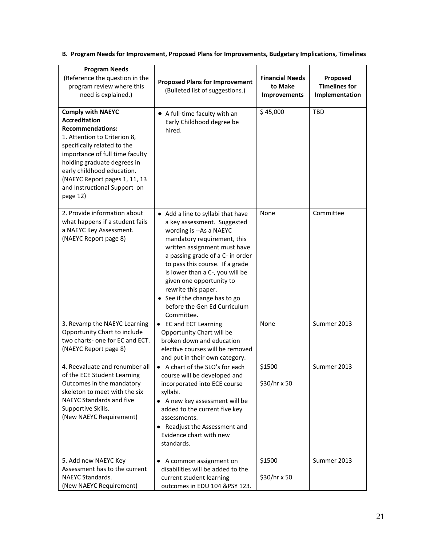**B. Program Needs for Improvement, Proposed Plans for Improvements, Budgetary Implications, Timelines**

| <b>Program Needs</b><br>(Reference the question in the<br>program review where this<br>need is explained.)                                                                                                                                                                                                              | <b>Proposed Plans for Improvement</b><br>(Bulleted list of suggestions.)                                                                                                                                                                                                                                                                                                                               | <b>Financial Needs</b><br>to Make<br>Improvements | Proposed<br><b>Timelines for</b><br>Implementation |
|-------------------------------------------------------------------------------------------------------------------------------------------------------------------------------------------------------------------------------------------------------------------------------------------------------------------------|--------------------------------------------------------------------------------------------------------------------------------------------------------------------------------------------------------------------------------------------------------------------------------------------------------------------------------------------------------------------------------------------------------|---------------------------------------------------|----------------------------------------------------|
| <b>Comply with NAEYC</b><br><b>Accreditation</b><br><b>Recommendations:</b><br>1. Attention to Criterion 8,<br>specifically related to the<br>importance of full time faculty<br>holding graduate degrees in<br>early childhood education.<br>(NAEYC Report pages 1, 11, 13<br>and Instructional Support on<br>page 12) | • A full-time faculty with an<br>Early Childhood degree be<br>hired.                                                                                                                                                                                                                                                                                                                                   | \$45,000                                          | <b>TBD</b>                                         |
| 2. Provide information about<br>what happens if a student fails<br>a NAEYC Key Assessment.<br>(NAEYC Report page 8)                                                                                                                                                                                                     | • Add a line to syllabi that have<br>a key assessment. Suggested<br>wording is --As a NAEYC<br>mandatory requirement, this<br>written assignment must have<br>a passing grade of a C- in order<br>to pass this course. If a grade<br>is lower than a C-, you will be<br>given one opportunity to<br>rewrite this paper.<br>• See if the change has to go<br>before the Gen Ed Curriculum<br>Committee. | None                                              | Committee                                          |
| 3. Revamp the NAEYC Learning<br>Opportunity Chart to include<br>two charts- one for EC and ECT.<br>(NAEYC Report page 8)                                                                                                                                                                                                | • EC and ECT Learning<br>Opportunity Chart will be<br>broken down and education<br>elective courses will be removed<br>and put in their own category.                                                                                                                                                                                                                                                  | None                                              | Summer 2013                                        |
| 4. Reevaluate and renumber all<br>of the ECE Student Learning<br>Outcomes in the mandatory<br>skeleton to meet with the six<br>NAEYC Standards and five<br>Supportive Skills.<br>(New NAEYC Requirement)                                                                                                                | • A chart of the SLO's for each<br>course will be developed and<br>incorporated into ECE course<br>syllabi.<br>• A new key assessment will be<br>added to the current five key<br>assessments.<br>• Readjust the Assessment and<br>Evidence chart with new<br>standards.                                                                                                                               | \$1500<br>\$30/hr x 50                            | Summer 2013                                        |
| 5. Add new NAEYC Key<br>Assessment has to the current<br>NAEYC Standards.<br>(New NAEYC Requirement)                                                                                                                                                                                                                    | • A common assignment on<br>disabilities will be added to the<br>current student learning<br>outcomes in EDU 104 &PSY 123.                                                                                                                                                                                                                                                                             | \$1500<br>\$30/hr x 50                            | Summer 2013                                        |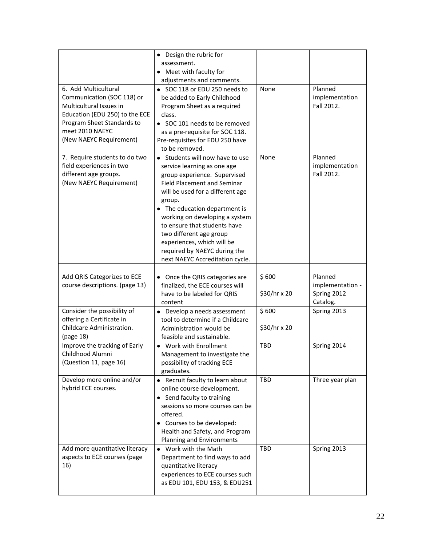|                                                                                                                                                                                             | • Design the rubric for                                                                                                                                                                                                                                                                                                                                                                                           |                       |                                            |
|---------------------------------------------------------------------------------------------------------------------------------------------------------------------------------------------|-------------------------------------------------------------------------------------------------------------------------------------------------------------------------------------------------------------------------------------------------------------------------------------------------------------------------------------------------------------------------------------------------------------------|-----------------------|--------------------------------------------|
|                                                                                                                                                                                             | assessment.<br>• Meet with faculty for                                                                                                                                                                                                                                                                                                                                                                            |                       |                                            |
|                                                                                                                                                                                             | adjustments and comments.                                                                                                                                                                                                                                                                                                                                                                                         |                       |                                            |
| 6. Add Multicultural<br>Communication (SOC 118) or<br>Multicultural Issues in<br>Education (EDU 250) to the ECE<br>Program Sheet Standards to<br>meet 2010 NAEYC<br>(New NAEYC Requirement) | • SOC 118 or EDU 250 needs to<br>be added to Early Childhood<br>Program Sheet as a required<br>class.<br>• SOC 101 needs to be removed<br>as a pre-requisite for SOC 118.<br>Pre-requisites for EDU 250 have<br>to be removed.                                                                                                                                                                                    | None                  | Planned<br>implementation<br>Fall 2012.    |
| 7. Require students to do two<br>field experiences in two<br>different age groups.<br>(New NAEYC Requirement)                                                                               | • Students will now have to use<br>service learning as one age<br>group experience. Supervised<br><b>Field Placement and Seminar</b><br>will be used for a different age<br>group.<br>• The education department is<br>working on developing a system<br>to ensure that students have<br>two different age group<br>experiences, which will be<br>required by NAEYC during the<br>next NAEYC Accreditation cycle. | None                  | Planned<br>implementation<br>Fall 2012.    |
|                                                                                                                                                                                             |                                                                                                                                                                                                                                                                                                                                                                                                                   |                       |                                            |
| Add QRIS Categorizes to ECE<br>course descriptions. (page 13)                                                                                                                               | • Once the QRIS categories are<br>finalized, the ECE courses will<br>have to be labeled for QRIS                                                                                                                                                                                                                                                                                                                  | \$600<br>\$30/hr x 20 | Planned<br>implementation -<br>Spring 2012 |
| Consider the possibility of<br>offering a Certificate in<br>Childcare Administration.<br>(page 18)                                                                                          | content<br>• Develop a needs assessment<br>tool to determine if a Childcare<br>Administration would be<br>feasible and sustainable.                                                                                                                                                                                                                                                                               | \$600<br>\$30/hr x 20 | Catalog.<br>Spring 2013                    |
| Improve the tracking of Early<br>Childhood Alumni<br>(Question 11, page 16)                                                                                                                 | • Work with Enrollment<br>Management to investigate the<br>possibility of tracking ECE<br>graduates.                                                                                                                                                                                                                                                                                                              | <b>TBD</b>            | Spring 2014                                |
| Develop more online and/or<br>hybrid ECE courses.                                                                                                                                           | • Recruit faculty to learn about<br>online course development.<br>• Send faculty to training<br>sessions so more courses can be<br>offered.<br>• Courses to be developed:<br>Health and Safety, and Program<br>Planning and Environments                                                                                                                                                                          | TBD                   | Three year plan                            |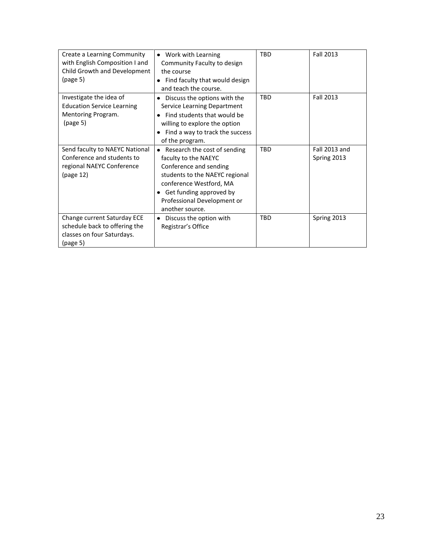| Create a Learning Community       | • Work with Learning                      | <b>TBD</b> | <b>Fall 2013</b> |
|-----------------------------------|-------------------------------------------|------------|------------------|
| with English Composition I and    | Community Faculty to design               |            |                  |
| Child Growth and Development      | the course                                |            |                  |
| (page 5)                          | • Find faculty that would design          |            |                  |
|                                   | and teach the course.                     |            |                  |
| Investigate the idea of           | Discuss the options with the<br>$\bullet$ | <b>TBD</b> | Fall 2013        |
| <b>Education Service Learning</b> | Service Learning Department               |            |                  |
| Mentoring Program.                | Find students that would be               |            |                  |
| (page 5)                          | willing to explore the option             |            |                  |
|                                   | Find a way to track the success           |            |                  |
|                                   | of the program.                           |            |                  |
| Send faculty to NAEYC National    | • Research the cost of sending            | <b>TBD</b> | Fall 2013 and    |
| Conference and students to        | faculty to the NAEYC                      |            | Spring 2013      |
| regional NAEYC Conference         | Conference and sending                    |            |                  |
| (page 12)                         | students to the NAEYC regional            |            |                  |
|                                   | conference Westford, MA                   |            |                  |
|                                   | Get funding approved by<br>$\bullet$      |            |                  |
|                                   | Professional Development or               |            |                  |
|                                   | another source.                           |            |                  |
| Change current Saturday ECE       | Discuss the option with<br>٠              | <b>TBD</b> | Spring 2013      |
| schedule back to offering the     | Registrar's Office                        |            |                  |
| classes on four Saturdays.        |                                           |            |                  |
| (page 5)                          |                                           |            |                  |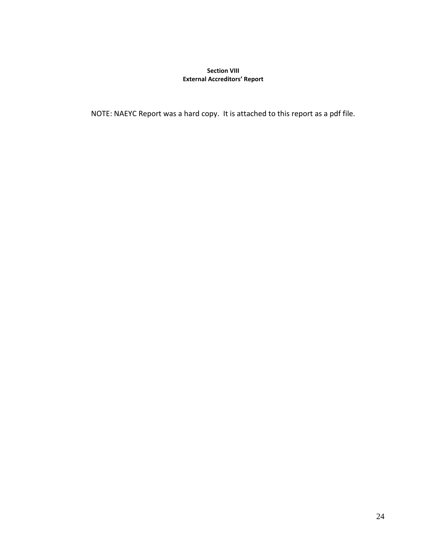### **Section VIII External Accreditors' Report**

NOTE: NAEYC Report was a hard copy. It is attached to this report as a pdf file.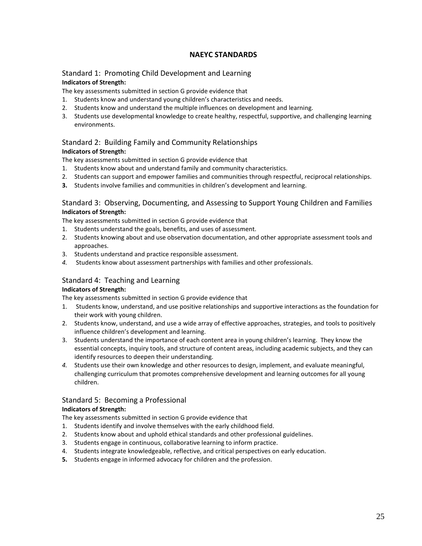## **NAEYC STANDARDS**

### Standard 1: Promoting Child Development and Learning **Indicators of Strength:**

The key assessments submitted in section G provide evidence that

- 1. Students know and understand young children's characteristics and needs.
- 2. Students know and understand the multiple influences on development and learning.
- 3. Students use developmental knowledge to create healthy, respectful, supportive, and challenging learning environments.

## Standard 2: Building Family and Community Relationships **Indicators of Strength:**

The key assessments submitted in section G provide evidence that

- 1. Students know about and understand family and community characteristics.
- 2. Students can support and empower families and communities through respectful, reciprocal relationships.
- **3.** Students involve families and communities in children's development and learning.

### Standard 3: Observing, Documenting, and Assessing to Support Young Children and Families **Indicators of Strength:**

The key assessments submitted in section G provide evidence that

- 1. Students understand the goals, benefits, and uses of assessment.
- 2. Students knowing about and use observation documentation, and other appropriate assessment tools and approaches.
- 3. Students understand and practice responsible assessment.
- *4.* Students know about assessment partnerships with families and other professionals.

## Standard 4: Teaching and Learning

#### **Indicators of Strength:**

The key assessments submitted in section G provide evidence that

- 1. Students know, understand, and use positive relationships and supportive interactions as the foundation for their work with young children.
- 2. Students know, understand, and use a wide array of effective approaches, strategies, and tools to positively influence children's development and learning.
- 3. Students understand the importance of each content area in young children's learning. They know the essential concepts, inquiry tools, and structure of content areas, including academic subjects, and they can identify resources to deepen their understanding.
- *4.* Students use their own knowledge and other resources to design, implement, and evaluate meaningful, challenging curriculum that promotes comprehensive development and learning outcomes for all young children.

## Standard 5: Becoming a Professional

### **Indicators of Strength:**

The key assessments submitted in section G provide evidence that

- 1. Students identify and involve themselves with the early childhood field.
- 2. Students know about and uphold ethical standards and other professional guidelines.
- 3. Students engage in continuous, collaborative learning to inform practice.
- 4. Students integrate knowledgeable, reflective, and critical perspectives on early education.
- **5.** Students engage in informed advocacy for children and the profession.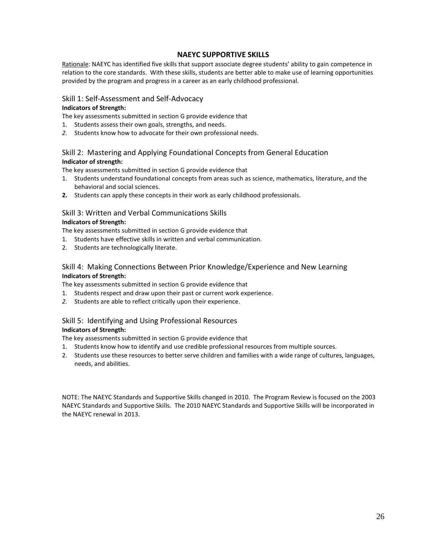### **NAEYC SUPPORTIVE SKILLS**

Rationale: NAEYC has identified five skills that support associate degree students' ability to gain competence in relation to the core standards. With these skills, students are better able to make use of learning opportunities provided by the program and progress in a career as an early childhood professional.

## Skill 1: Self-Assessment and Self-Advocacy

#### **Indicators of Strength:**

The key assessments submitted in section G provide evidence that

- 1. Students assess their own goals, strengths, and needs.
- *2.* Students know how to advocate for their own professional needs.

## Skill 2: Mastering and Applying Foundational Concepts from General Education **Indicator of strength:**

The key assessments submitted in section G provide evidence that

- 1. Students understand foundational concepts from areas such as science, mathematics, literature, and the behavioral and social sciences.
- **2.** Students can apply these concepts in their work as early childhood professionals.

# Skill 3: Written and Verbal Communications Skills

### **Indicators of Strength:**

The key assessments submitted in section G provide evidence that

- 1. Students have effective skills in written and verbal communication.
- 2. Students are technologically literate.

## Skill 4: Making Connections Between Prior Knowledge/Experience and New Learning **Indicators of Strength:**

The key assessments submitted in section G provide evidence that

- 1. Students respect and draw upon their past or current work experience.
- *2.* Students are able to reflect critically upon their experience.

## Skill 5: Identifying and Using Professional Resources

### **Indicators of Strength:**

The key assessments submitted in section G provide evidence that

- 1. Students know how to identify and use credible professional resources from multiple sources.
- 2. Students use these resources to better serve children and families with a wide range of cultures, languages, needs, and abilities.

NOTE: The NAEYC Standards and Supportive Skills changed in 2010. The Program Review is focused on the 2003 NAEYC Standards and Supportive Skills. The 2010 NAEYC Standards and Supportive Skills will be incorporated in the NAEYC renewal in 2013.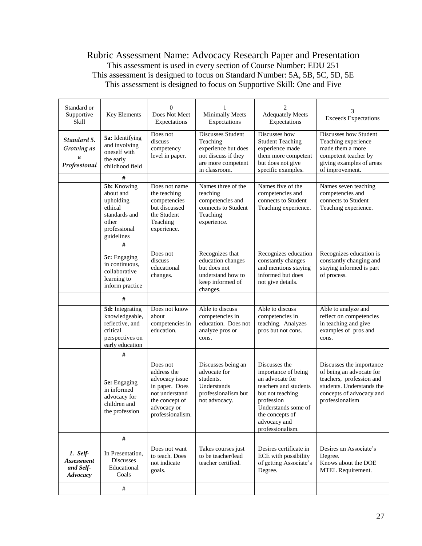# Rubric Assessment Name: Advocacy Research Paper and Presentation This assessment is used in every section of Course Number: EDU 251 This assessment is designed to focus on Standard Number: 5A, 5B, 5C, 5D, 5E This assessment is designed to focus on Supportive Skill: One and Five

| Standard or<br>Supportive<br>Skill                     | Key Elements                                                                                                         | $\Omega$<br>Does Not Meet<br>Expectations                                                                                          | <b>Minimally Meets</b><br>Expectations                                                                             | $\overline{c}$<br><b>Adequately Meets</b><br>Expectations                                                                                                                                        | <b>Exceeds Expectations</b>                                                                                                                                  |
|--------------------------------------------------------|----------------------------------------------------------------------------------------------------------------------|------------------------------------------------------------------------------------------------------------------------------------|--------------------------------------------------------------------------------------------------------------------|--------------------------------------------------------------------------------------------------------------------------------------------------------------------------------------------------|--------------------------------------------------------------------------------------------------------------------------------------------------------------|
| Standard 5.<br>Growing as<br>a<br>Professional         | <b>5a:</b> Identifying<br>and involving<br>oneself with<br>the early<br>childhood field                              | Does not<br>discuss<br>competency<br>level in paper.                                                                               | Discusses Student<br>Teaching<br>experience but does<br>not discuss if they<br>are more competent<br>in classroom. | Discusses how<br><b>Student Teaching</b><br>experience made<br>them more competent<br>but does not give<br>specific examples.                                                                    | Discusses how Student<br>Teaching experience<br>made them a more<br>competent teacher by<br>giving examples of areas<br>of improvement.                      |
|                                                        | #<br><b>5b:</b> Knowing<br>about and<br>upholding<br>ethical<br>standards and<br>other<br>professional<br>guidelines | Does not name<br>the teaching<br>competencies<br>but discussed<br>the Student<br>Teaching<br>experience.                           | Names three of the<br>teaching<br>competencies and<br>connects to Student<br>Teaching<br>experience.               | Names five of the<br>competencies and<br>connects to Student<br>Teaching experience.                                                                                                             | Names seven teaching<br>competencies and<br>connects to Student<br>Teaching experience.                                                                      |
|                                                        | #                                                                                                                    |                                                                                                                                    |                                                                                                                    |                                                                                                                                                                                                  |                                                                                                                                                              |
|                                                        | 5c: Engaging<br>in continuous.<br>collaborative<br>learning to<br>inform practice                                    | Does not<br>discuss<br>educational<br>changes.                                                                                     | Recognizes that<br>education changes<br>but does not<br>understand how to<br>keep informed of<br>changes.          | Recognizes education<br>constantly changes<br>and mentions staying<br>informed but does<br>not give details.                                                                                     | Recognizes education is<br>constantly changing and<br>staying informed is part<br>of process.                                                                |
|                                                        | #                                                                                                                    |                                                                                                                                    |                                                                                                                    |                                                                                                                                                                                                  |                                                                                                                                                              |
|                                                        | 5d: Integrating<br>knowledgeable,<br>reflective, and<br>critical<br>perspectives on<br>early education               | Does not know<br>about<br>competencies in<br>education.                                                                            | Able to discuss<br>competencies in<br>education. Does not<br>analyze pros or<br>cons.                              | Able to discuss<br>competencies in<br>teaching. Analyzes<br>pros but not cons.                                                                                                                   | Able to analyze and<br>reflect on competencies<br>in teaching and give<br>examples of pros and<br>cons.                                                      |
|                                                        | #                                                                                                                    |                                                                                                                                    |                                                                                                                    |                                                                                                                                                                                                  |                                                                                                                                                              |
|                                                        | 5e: Engaging<br>in informed<br>advocacy for<br>children and<br>the profession                                        | Does not<br>address the<br>advocacy issue<br>in paper. Does<br>not understand<br>the concept of<br>advocacy or<br>professionalism. | Discusses being an<br>advocate for<br>students.<br>Understands<br>professionalism but<br>not advocacy.             | Discusses the<br>importance of being<br>an advocate for<br>teachers and students<br>but not teaching<br>profession<br>Understands some of<br>the concepts of<br>advocacy and<br>professionalism. | Discusses the importance<br>of being an advocate for<br>teachers, profession and<br>students. Understands the<br>concepts of advocacy and<br>professionalism |
|                                                        | $\#$                                                                                                                 |                                                                                                                                    |                                                                                                                    |                                                                                                                                                                                                  |                                                                                                                                                              |
| 1. Self-<br><b>Assessment</b><br>and Self-<br>Advocacy | In Presentation,<br><b>Discusses</b><br>Educational<br>Goals                                                         | Does not want<br>to teach. Does<br>not indicate<br>goals.                                                                          | Takes courses just<br>to be teacher/lead<br>teacher certified.                                                     | Desires certificate in<br>ECE with possibility<br>of getting Associate's<br>Degree.                                                                                                              | Desires an Associate's<br>Degree.<br>Knows about the DOE<br>MTEL Requirement.                                                                                |
|                                                        | $\#$                                                                                                                 |                                                                                                                                    |                                                                                                                    |                                                                                                                                                                                                  |                                                                                                                                                              |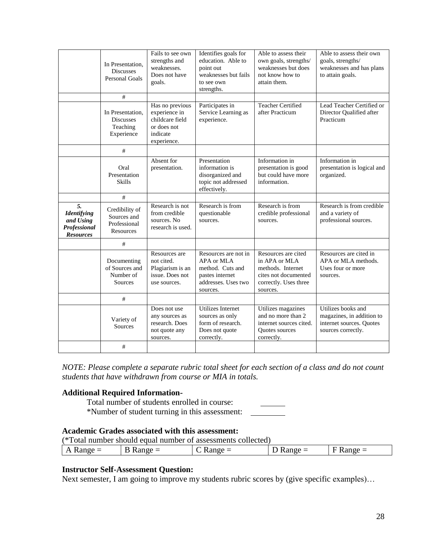|                                                                           | In Presentation,<br><b>Discusses</b><br><b>Personal Goals</b>  | Fails to see own<br>strengths and<br>weaknesses.<br>Does not have<br>goals.                   | Identifies goals for<br>education. Able to<br>point out<br>weaknesses but fails<br>to see own<br>strengths.  | Able to assess their<br>own goals, strengths/<br>weaknesses but does<br>not know how to<br>attain them.                | Able to assess their own<br>goals, strengths/<br>weaknesses and has plans<br>to attain goals.     |
|---------------------------------------------------------------------------|----------------------------------------------------------------|-----------------------------------------------------------------------------------------------|--------------------------------------------------------------------------------------------------------------|------------------------------------------------------------------------------------------------------------------------|---------------------------------------------------------------------------------------------------|
|                                                                           | $\#$                                                           |                                                                                               |                                                                                                              |                                                                                                                        |                                                                                                   |
|                                                                           | In Presentation,<br><b>Discusses</b><br>Teaching<br>Experience | Has no previous<br>experience in<br>childcare field<br>or does not<br>indicate<br>experience. | Participates in<br>Service Learning as<br>experience.                                                        | <b>Teacher Certified</b><br>after Practicum                                                                            | Lead Teacher Certified or<br>Director Qualified after<br>Practicum                                |
|                                                                           | $\#$                                                           |                                                                                               |                                                                                                              |                                                                                                                        |                                                                                                   |
|                                                                           | Oral<br>Presentation<br><b>Skills</b>                          | Absent for<br>presentation.                                                                   | Presentation<br>information is<br>disorganized and<br>topic not addressed<br>effectively.                    | Information in<br>presentation is good<br>but could have more<br>information.                                          | Information in<br>presentation is logical and<br>organized.                                       |
|                                                                           | #                                                              |                                                                                               |                                                                                                              |                                                                                                                        |                                                                                                   |
| 5.<br><b>Identifying</b><br>and Using<br>Professional<br><b>Resources</b> | Credibility of<br>Sources and<br>Professional<br>Resources     | Research is not<br>from credible<br>sources. No<br>research is used.                          | Research is from<br>questionable<br>sources.                                                                 | Research is from<br>credible professional<br>sources.                                                                  | Research is from credible<br>and a variety of<br>professional sources.                            |
|                                                                           | #                                                              |                                                                                               |                                                                                                              |                                                                                                                        |                                                                                                   |
|                                                                           | Documenting<br>of Sources and<br>Number of<br>Sources          | Resources are<br>not cited.<br>Plagiarism is an<br>issue. Does not<br>use sources.            | Resources are not in<br>APA or MLA<br>method. Cuts and<br>pastes internet<br>addresses. Uses two<br>sources. | Resources are cited<br>in APA or MLA<br>methods. Internet<br>cites not documented<br>correctly. Uses three<br>sources. | Resources are cited in<br>APA or MLA methods.<br>Uses four or more<br>sources.                    |
|                                                                           | #                                                              |                                                                                               |                                                                                                              |                                                                                                                        |                                                                                                   |
|                                                                           | Variety of<br><b>Sources</b>                                   | Does not use<br>any sources as<br>research. Does<br>not quote any<br>sources.                 | Utilizes Internet<br>sources as only<br>form of research.<br>Does not quote<br>correctly.                    | Utilizes magazines<br>and no more than 2<br>internet sources cited.<br>Quotes sources<br>correctly.                    | Utilizes books and<br>magazines, in addition to<br>internet sources. Quotes<br>sources correctly. |
|                                                                           | $\#$                                                           |                                                                                               |                                                                                                              |                                                                                                                        |                                                                                                   |

*NOTE: Please complete a separate rubric total sheet for each section of a class and do not count students that have withdrawn from course or MIA in totals.*

## **Additional Required Information-**

Total number of students enrolled in course:

\*Number of student turning in this assessment:

### **Academic Grades associated with this assessment:**

| (*Total number should equal number of assessments collected) |  |
|--------------------------------------------------------------|--|
|                                                              |  |

| л<br>$\sum$ | $\overline{\phantom{a}}$<br>נו<br>$\sim$ $\sim$<br>ነከ ወዶ<br>്<br><b>IVALLE</b> | .<br>$\overline{\phantom{a}}$<br>1.0011<br>∼ | $\sim$ $\sim$<br>້<br>$\overline{1}$ | $\sim$<br>- - - - -<br>Tran<br>$\overline{\phantom{a}}$ |
|-------------|--------------------------------------------------------------------------------|----------------------------------------------|--------------------------------------|---------------------------------------------------------|
|             |                                                                                |                                              |                                      |                                                         |

# **Instructor Self-Assessment Question:**

Next semester, I am going to improve my students rubric scores by (give specific examples)...